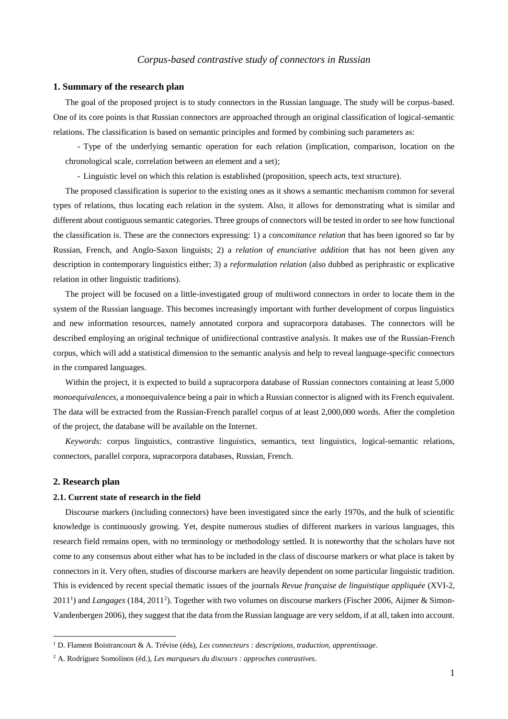## **1. Summary of the research plan**

The goal of the proposed project is to study connectors in the Russian language. The study will be corpus-based. One of its core points is that Russian connectors are approached through an original classification of logical-semantic relations. The classification is based on semantic principles and formed by combining such parameters as:

- Type of the underlying semantic operation for each relation (implication, comparison, location on the chronological scale, correlation between an element and a set);

- Linguistic level on which this relation is established (proposition, speech acts, text structure).

The proposed classification is superior to the existing ones as it shows a semantic mechanism common for several types of relations, thus locating each relation in the system. Also, it allows for demonstrating what is similar and different about contiguous semantic categories. Three groups of connectors will be tested in order to see how functional the classification is. These are the connectors expressing: 1) a *concomitance relation* that has been ignored so far by Russian, French, and Anglo-Saxon linguists; 2) a *relation of enunciative addition* that has not been given any description in contemporary linguistics either; 3) a *reformulation relation* (also dubbed as periphrastic or explicative relation in other linguistic traditions).

The project will be focused on a little-investigated group of multiword connectors in order to locate them in the system of the Russian language. This becomes increasingly important with further development of corpus linguistics and new information resources, namely annotated corpora and supracorpora databases. The connectors will be described employing an original technique of unidirectional contrastive analysis. It makes use of the Russian-French corpus, which will add a statistical dimension to the semantic analysis and help to reveal language-specific connectors in the compared languages.

Within the project, it is expected to build a supracorpora database of Russian connectors containing at least 5,000 *monoequivalences*, a monoequivalence being a pair in which a Russian connector is aligned with its French equivalent. The data will be extracted from the Russian-French parallel corpus of at least 2,000,000 words. After the completion of the project, the database will be available on the Internet.

*Keywords:* corpus linguistics, contrastive linguistics, semantics, text linguistics, logical-semantic relations, connectors, parallel corpora, supracorpora databases, Russian, French.

# **2. Research plan**

 $\overline{a}$ 

## **2.1. Current state of research in the field**

Discourse markers (including connectors) have been investigated since the early 1970s, and the bulk of scientific knowledge is continuously growing. Yet, despite numerous studies of different markers in various languages, this research field remains open, with no terminology or methodology settled. It is noteworthy that the scholars have not come to any consensus about either what has to be included in the class of discourse markers or what place is taken by connectors in it. Very often, studies of discourse markers are heavily dependent on some particular linguistic tradition. This is evidenced by recent special thematic issues of the journals *Revue française de linguistique appliquée* (XVI-2, 2011<sup>1</sup>) and *Langages* (184, 2011<sup>2</sup>). Together with two volumes on discourse markers (Fischer 2006, Aijmer & Simon-Vandenbergen 2006), they suggest that the data from the Russian language are very seldom, if at all, taken into account.

<sup>1</sup> D. Flament Boistrancourt & A. Trévise (éds), *Les connecteurs : descriptions, traduction, apprentissage*.

<sup>2</sup> A. Rodríguez Somolinos (éd.), *Les marqueurs du discours : approches contrastives*.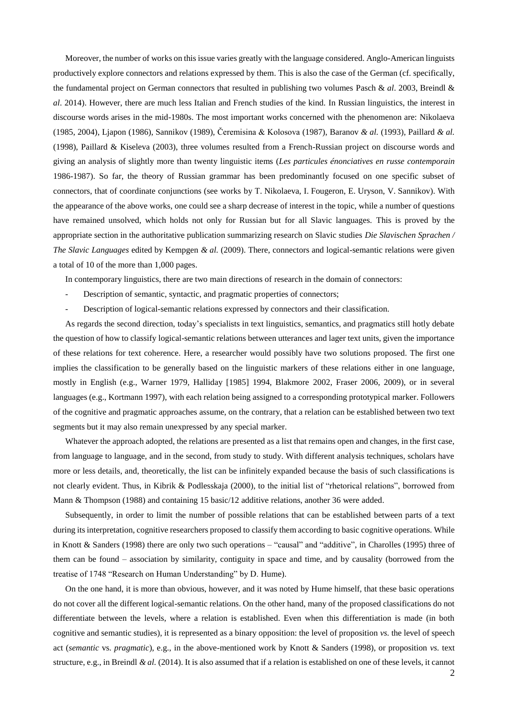Moreover, the number of works on this issue varies greatly with the language considered. Anglo-American linguists productively explore connectors and relations expressed by them. This is also the case of the German (cf. specifically, the fundamental project on German connectors that resulted in publishing two volumes Pasch & *al*. 2003, Breindl & *al*. 2014). However, there are much less Italian and French studies of the kind. In Russian linguistics, the interest in discourse words arises in the mid-1980s. The most important works concerned with the phenomenon are: Nikolaeva (1985, 2004), Ljapon (1986), Sannikov (1989), Čeremisina & Kolosova (1987), Baranov *& al.* (1993), Paillard *& al.* (1998), Paillard & Kiseleva (2003), three volumes resulted from a French-Russian project on discourse words and giving an analysis of slightly more than twenty linguistic items (*Les particules énonciatives en russe contemporain* 1986-1987). So far, the theory of Russian grammar has been predominantly focused on one specific subset of connectors, that of coordinate conjunctions (see works by Т. Nikolaeva, I. Fougeron, E. Uryson, V. Sannikov). With the appearance of the above works, one could see a sharp decrease of interest in the topic, while a number of questions have remained unsolved, which holds not only for Russian but for all Slavic languages. This is proved by the appropriate section in the authoritative publication summarizing research on Slavic studies *Die Slavischen Sprachen / The Slavic Languages* edited by Kempgen *& al.* (2009). There, connectors and logical-semantic relations were given a total of 10 of the more than 1,000 pages.

In contemporary linguistics, there are two main directions of research in the domain of connectors:

- Description of semantic, syntactic, and pragmatic properties of connectors;
- Description of logical-semantic relations expressed by connectors and their classification.

As regards the second direction, today's specialists in text linguistics, semantics, and pragmatics still hotly debate the question of how to classify logical-semantic relations between utterances and lager text units, given the importance of these relations for text coherence. Here, a researcher would possibly have two solutions proposed. The first one implies the classification to be generally based on the linguistic markers of these relations either in one language, mostly in English (e.g., Warner 1979, Halliday [1985] 1994, Blakmore 2002, Fraser 2006, 2009), or in several languages (e.g., Kortmann 1997), with each relation being assigned to a corresponding prototypical marker. Followers of the cognitive and pragmatic approaches assume, on the contrary, that a relation can be established between two text segments but it may also remain unexpressed by any special marker.

Whatever the approach adopted, the relations are presented as a list that remains open and changes, in the first case, from language to language, and in the second, from study to study. With different analysis techniques, scholars have more or less details, and, theoretically, the list can be infinitely expanded because the basis of such classifications is not clearly evident. Thus, in Kibrik & Podlesskaja (2000), to the initial list of "rhetorical relations", borrowed from Mann & Thompson (1988) and containing 15 basic/12 additive relations, another 36 were added.

Subsequently, in order to limit the number of possible relations that can be established between parts of a text during its interpretation, cognitive researchers proposed to classify them according to basic cognitive operations. While in Knott & Sanders (1998) there are only two such operations – "causal" and "additive", in Charolles (1995) three of them can be found – association by similarity, contiguity in space and time, and by causality (borrowed from the treatise of 1748 "Research on Human Understanding" by D. Hume).

On the one hand, it is more than obvious, however, and it was noted by Hume himself, that these basic operations do not cover all the different logical-semantic relations. On the other hand, many of the proposed classifications do not differentiate between the levels, where a relation is established. Even when this differentiation is made (in both cognitive and semantic studies), it is represented as a binary opposition: the level of proposition *vs.* the level of speech act (*semantic* vs. *pragmatic*), e.g., in the above-mentioned work by Knott & Sanders (1998), or proposition *vs.* text structure, e.g., in Breindl *& al.* (2014). It is also assumed that if a relation is established on one of these levels, it cannot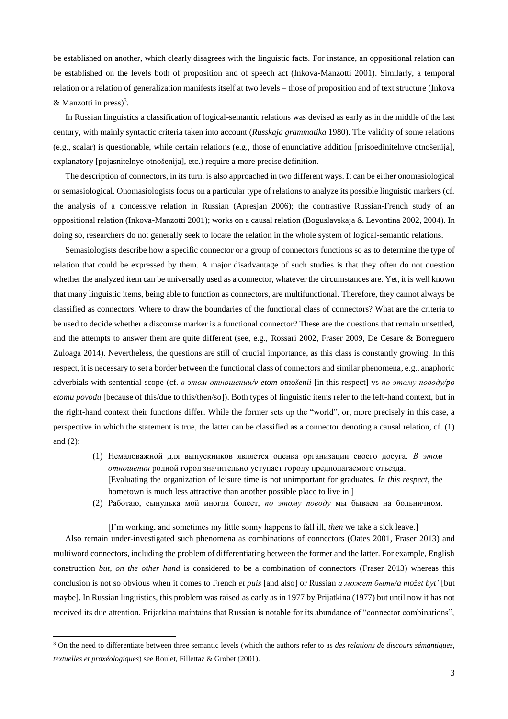be established on another, which clearly disagrees with the linguistic facts. For instance, an oppositional relation can be established on the levels both of proposition and of speech act (Inkova-Manzotti 2001). Similarly, a temporal relation or a relation of generalization manifests itself at two levels – those of proposition and of text structure (Inkova & Manzotti in press) $3$ .

In Russian linguistics a classification of logical-semantic relations was devised as early as in the middle of the last century, with mainly syntactic criteria taken into account (*Russkaja grammatika* 1980). The validity of some relations (e.g., scalar) is questionable, while certain relations (e.g., those of enunciative addition [prisoedinitelnye otnošenija], explanatory [pojasnitelnye otnošenija], etc.) require a more precise definition.

The description of connectors, in its turn, is also approached in two different ways. It can be either onomasiological or semasiological. Onomasiologists focus on a particular type of relations to analyze its possible linguistic markers (cf. the analysis of a concessive relation in Russian (Apresjan 2006); the contrastive Russian-French study of an oppositional relation (Inkova-Manzotti 2001); works on a causal relation (Boguslavskaja & Levontina 2002, 2004). In doing so, researchers do not generally seek to locate the relation in the whole system of logical-semantic relations.

Semasiologists describe how a specific connector or a group of connectors functions so as to determine the type of relation that could be expressed by them. A major disadvantage of such studies is that they often do not question whether the analyzed item can be universally used as a connector, whatever the circumstances are. Yet, it is well known that many linguistic items, being able to function as connectors, are multifunctional. Therefore, they cannot always be classified as connectors. Where to draw the boundaries of the functional class of connectors? What are the criteria to be used to decide whether a discourse marker is a functional connector? These are the questions that remain unsettled, and the attempts to answer them are quite different (see, e.g., Rossari 2002, Fraser 2009, De Cesare & Borreguero Zuloaga 2014). Nevertheless, the questions are still of crucial importance, as this class is constantly growing. In this respect, it is necessary to set a border between the functional class of connectors and similar phenomena, e.g., anaphoric adverbials with sentential scope (cf. *в этом отношении/v etom otnošenii* [in this respect] vs *по этому поводу/po etomu povodu* [because of this/due to this/then/so]). Both types of linguistic items refer to the left-hand context, but in the right-hand context their functions differ. While the former sets up the "world", or, more precisely in this case, a perspective in which the statement is true, the latter can be classified as a connector denoting a causal relation, cf. (1) and (2):

- (1) Немаловажной для выпускников является оценка организации своего досуга. *В этом отношении* родной город значительно уступает городу предполагаемого отъезда. [Evaluating the organization of leisure time is not unimportant for graduates. *In this respect*, the hometown is much less attractive than another possible place to live in.]
- (2) Работаю, сынулька мой иногда болеет, *по этому поводу* мы бываем на больничном.

[I'm working, and sometimes my little sonny happens to fall ill, *then* we take a sick leave.] Also remain under-investigated such phenomena as combinations of connectors (Oates 2001, Fraser 2013) and multiword connectors, including the problem of differentiating between the former and the latter. For example, English construction *but, on the other hand* is considered to be a combination of connectors (Fraser 2013) whereas this conclusion is not so obvious when it comes to French *et puis* [and also] or Russian *а может быть/a možet byt'* [but maybe]. In Russian linguistics, this problem was raised as early as in 1977 by Prijatkina (1977) but until now it has not received its due attention. Prijatkina maintains that Russian is notable for its abundance of "connector combinations",

 $\overline{a}$ 

<sup>3</sup> On the need to differentiate between three semantic levels (which the authors refer to as *des relations de discours sémantiques, textuelles et praxéologiques*) see Roulet, Fillettaz & Grobet (2001).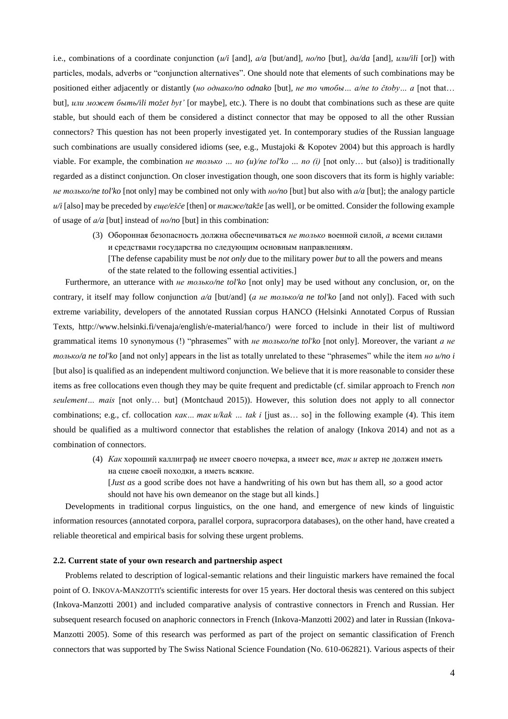i.e., combinations of a coordinate conjunction (*и/i* [and]*, а/a* [but/and]*, но/no* [but]*, да/da* [and]*, или/ili* [or]) with particles, modals, adverbs or "conjunction alternatives". One should note that elements of such combinations may be positioned either adjacently or distantly (*но однако/no odnako* [but]*, не то чтобы… а/ne to čtoby… a* [not that… but]*, или может быть/ili možet byt'* [or maybe], etc.). There is no doubt that combinations such as these are quite stable, but should each of them be considered a distinct connector that may be opposed to all the other Russian connectors? This question has not been properly investigated yet. In contemporary studies of the Russian language such combinations are usually considered idioms (see, e.g., Mustajoki & Kopotev 2004) but this approach is hardly viable. For example, the combination *не только … но (и)/ne tol'ko … no (i)* [not only… but (also)] is traditionally regarded as a distinct conjunction. On closer investigation though, one soon discovers that its form is highly variable: *не только/ne tol'ko* [not only] may be combined not only with *но/no* [but] but also with *а/a* [but]; the analogy particle *и/i* [also] may be preceded by *еще/ešče* [then] or *также/takže* [as well], or be omitted. Consider the following example of usage of *а/a* [but] instead of *но/no* [but] in this combination:

(3) Оборонная безопасность должна обеспечиваться *не только* военной силой, *а* всеми силами и средствами государства по следующим основным направлениям.

[The defense capability must be *not only* due to the military power *but* to all the powers and means of the state related to the following essential activities.]

Furthermore, an utterance with *не только/ne tol'ko* [not only] may be used without any conclusion, or, on the contrary, it itself may follow conjunction *а/a* [but/and] (*а не только/a ne tol'ko* [and not only]). Faced with such extreme variability, developers of the annotated Russian corpus HANCO (Helsinki Annotated Corpus of Russian Texts, http://www.helsinki.fi/venaja/english/e-material/hanco/) were forced to include in their list of multiword grammatical items 10 synonymous (!) "phrasemes" with *не только/ne tol'ko* [not only]. Moreover, the variant *а не только/a ne tol'ko* [and not only] appears in the list as totally unrelated to these "phrasemes" while the item *но и/no i* [but also] is qualified as an independent multiword conjunction. We believe that it is more reasonable to consider these items as free collocations even though they may be quite frequent and predictable (cf. similar approach to French *non seulement… mais* [not only… but] (Montchaud 2015)). However, this solution does not apply to all connector combinations; e.g., cf. collocation *как… так и/kak … tak i* [just as… so] in the following example (4). This item should be qualified as a multiword connector that establishes the relation of analogy (Inkova 2014) and not as a combination of connectors.

- (4) *Как* хороший каллиграф не имеет своего почерка, а имеет все, *так и* актер не должен иметь на сцене своей походки, а иметь всякие.
	- [*Just as* a good scribe does not have a handwriting of his own but has them all, *so* a good actor should not have his own demeanor on the stage but all kinds.]

Developments in traditional corpus linguistics, on the one hand, and emergence of new kinds of linguistic information resources (annotated corpora, parallel corpora, supracorpora databases), on the other hand, have created a reliable theoretical and empirical basis for solving these urgent problems.

## **2.2. Current state of your own research and partnership aspect**

Problems related to description of logical-semantic relations and their linguistic markers have remained the focal point of O. INKOVA-MANZOTTI's scientific interests for over 15 years. Her doctoral thesis was centered on this subject (Inkova-Manzotti 2001) and included comparative analysis of contrastive connectors in French and Russian. Her subsequent research focused on anaphoric connectors in French (Inkova-Manzotti 2002) and later in Russian (Inkova-Manzotti 2005). Some of this research was performed as part of the project on semantic classification of French connectors that was supported by The Swiss National Science Foundation (No. 610-062821). Various aspects of their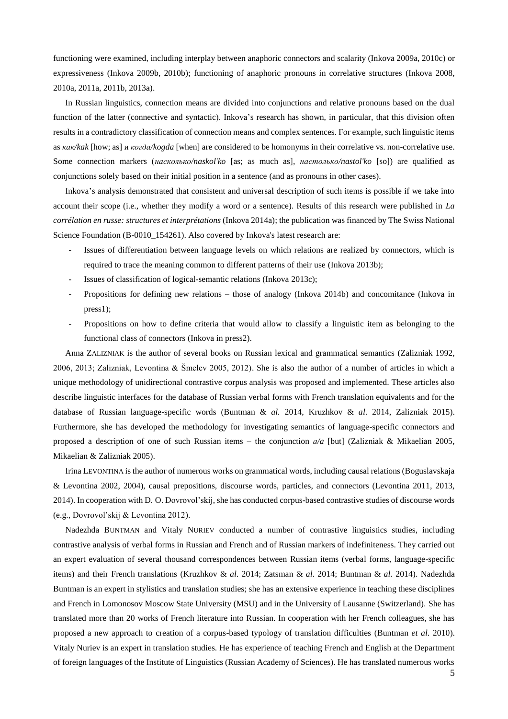functioning were examined, including interplay between anaphoric connectors and scalarity (Inkova 2009a, 2010c) or expressiveness (Inkova 2009b, 2010b); functioning of anaphoric pronouns in correlative structures (Inkova 2008, 2010a, 2011a, 2011b, 2013a).

In Russian linguistics, connection means are divided into conjunctions and relative pronouns based on the dual function of the latter (connective and syntactic). Inkova's research has shown, in particular, that this division often results in a contradictory classification of connection means and complex sentences. For example, such linguistic items as *как/kak* [how; as] и *когда/kogda* [when] are considered to be homonyms in their correlative vs. non-correlative use. Some connection markers (*насколько/naskol'ko* [as; as much as]*, настолько/nastol'ko* [so]) are qualified as conjunctions solely based on their initial position in a sentence (and as pronouns in other cases).

Inkova's analysis demonstrated that consistent and universal description of such items is possible if we take into account their scope (i.e., whether they modify a word or a sentence). Results of this research were published in *La corrélation en russe: structures et interprétations* (Inkova 2014a); the publication was financed by The Swiss National Science Foundation (B-0010\_154261). Also covered by Inkova's latest research are:

- Issues of differentiation between language levels on which relations are realized by connectors, which is required to trace the meaning common to different patterns of their use (Inkova 2013b);
- Issues of classification of logical-semantic relations (Inkova 2013c);
- Propositions for defining new relations those of analogy (Inkova 2014b) and concomitance (Inkova in press1);
- Propositions on how to define criteria that would allow to classify a linguistic item as belonging to the functional class of connectors (Inkova in press2).

Anna ZALIZNIAK is the author of several books on Russian lexical and grammatical semantics (Zalizniak 1992, 2006, 2013; Zalizniak, Levontina & Šmelev 2005, 2012). She is also the author of a number of articles in which a unique methodology of unidirectional contrastive corpus analysis was proposed and implemented. These articles also describe linguistic interfaces for the database of Russian verbal forms with French translation equivalents and for the database of Russian language-specific words (Buntman & *al.* 2014, Kruzhkov & *al*. 2014, Zalizniak 2015). Furthermore, she has developed the methodology for investigating semantics of language-specific connectors and proposed a description of one of such Russian items – the conjunction *а/a* [but] (Zalizniak & Mikaelian 2005, Mikaelian & Zalizniak 2005).

Irina LEVONTINA is the author of numerous works on grammatical words, including causal relations (Boguslavskaja & Levontina 2002, 2004), causal prepositions, discourse words, particles, and connectors (Levontina 2011, 2013, 2014). In cooperation with D. O. Dovrovol'skij, she has conducted corpus-based contrastive studies of discourse words (e.g., Dovrovol'skij & Levontina 2012).

Nadezhda BUNTMAN and Vitaly NURIEV conducted a number of contrastive linguistics studies, including contrastive analysis of verbal forms in Russian and French and of Russian markers of indefiniteness. They carried out an expert evaluation of several thousand correspondences between Russian items (verbal forms, language-specific items) and their French translations (Kruzhkov & *al*. 2014; Zatsman & *al*. 2014; Buntman & *al.* 2014). Nadezhda Buntman is an expert in stylistics and translation studies; she has an extensive experience in teaching these disciplines and French in Lomonosov Moscow State University (MSU) and in the University of Lausanne (Switzerland). She has translated more than 20 works of French literature into Russian. In cooperation with her French colleagues, she has proposed a new approach to creation of a corpus-based typology of translation difficulties (Buntman *et al*. 2010). Vitaly Nuriev is an expert in translation studies. He has experience of teaching French and English at the Department of foreign languages of the Institute of Linguistics (Russian Academy of Sciences). He has translated numerous works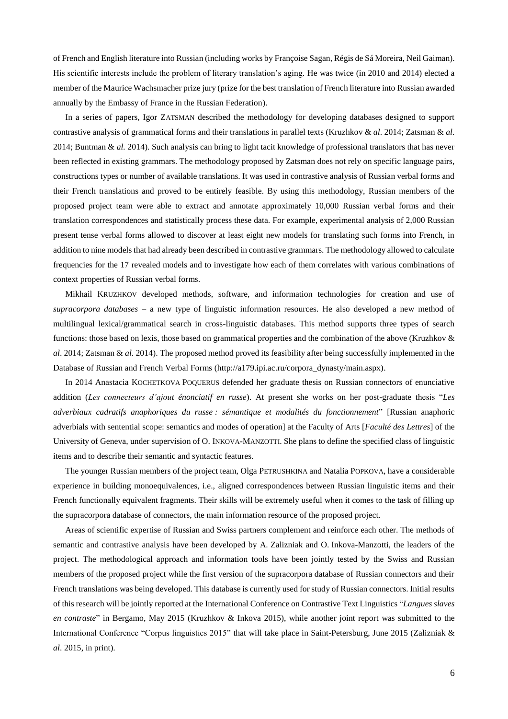of French and English literature into Russian (including works by Françoise Sagan, Régis de Sá Moreira, Neil Gaiman). His scientific interests include the problem of literary translation's aging. He was twice (in 2010 and 2014) elected a member of the Maurice Wachsmacher prize jury (prize for the best translation of French literature into Russian awarded annually by the Embassy of France in the Russian Federation).

In a series of papers, Igor ZATSMAN described the methodology for developing databases designed to support contrastive analysis of grammatical forms and their translations in parallel texts (Kruzhkov & *al*. 2014; Zatsman & *al*. 2014; Buntman & *al.* 2014). Such analysis can bring to light tacit knowledge of professional translators that has never been reflected in existing grammars. The methodology proposed by Zatsman does not rely on specific language pairs, constructions types or number of available translations. It was used in contrastive analysis of Russian verbal forms and their French translations and proved to be entirely feasible. By using this methodology, Russian members of the proposed project team were able to extract and annotate approximately 10,000 Russian verbal forms and their translation correspondences and statistically process these data. For example, experimental analysis of 2,000 Russian present tense verbal forms allowed to discover at least eight new models for translating such forms into French, in addition to nine models that had already been described in contrastive grammars. The methodology allowed to calculate frequencies for the 17 revealed models and to investigate how each of them correlates with various combinations of context properties of Russian verbal forms.

Mikhail KRUZHKOV developed methods, software, and information technologies for creation and use of *supracorpora databases* – a new type of linguistic information resources. He also developed a new method of multilingual lexical/grammatical search in cross-linguistic databases. This method supports three types of search functions: those based on lexis, those based on grammatical properties and the combination of the above (Kruzhkov & *al*. 2014; Zatsman & *al*. 2014). The proposed method proved its feasibility after being successfully implemented in the Database of Russian and French Verbal Forms (http://a179.ipi.ac.ru/corpora\_dynasty/main.aspx).

In 2014 Anastacia KOCHETKOVA POQUERUS defended her graduate thesis on Russian connectors of enunciative addition (*Les connecteurs d'ajout énonciatif en russe*). At present she works on her post-graduate thesis "*Les adverbiaux cadratifs anaphoriques du russe : sémantique et modalités du fonctionnement*" [Russian anaphoric adverbials with sentential scope: semantics and modes of operation] at the Faculty of Arts [*Faculté des Lettres*] of the University of Geneva, under supervision of O. INKOVA-MANZOTTI. She plans to define the specified class of linguistic items and to describe their semantic and syntactic features.

The younger Russian members of the project team, Olga PETRUSHKINA and Natalia POPKOVA, have a considerable experience in building monoequivalences, i.e., aligned correspondences between Russian linguistic items and their French functionally equivalent fragments. Their skills will be extremely useful when it comes to the task of filling up the supracorpora database of connectors, the main information resource of the proposed project.

Areas of scientific expertise of Russian and Swiss partners complement and reinforce each other. The methods of semantic and contrastive analysis have been developed by A. Zalizniak and O. Inkova-Manzotti, the leaders of the project. The methodological approach and information tools have been jointly tested by the Swiss and Russian members of the proposed project while the first version of the supracorpora database of Russian connectors and their French translations was being developed. This database is currently used for study of Russian connectors. Initial results of this research will be jointly reported at the International Conference on Contrastive Text Linguistics "*Langues slaves en contraste*" in Bergamo, May 2015 (Kruzhkov & Inkova 2015), while another joint report was submitted to the International Conference "Corpus linguistics 2015" that will take place in Saint-Petersburg, June 2015 (Zalizniak & *al*. 2015, in print).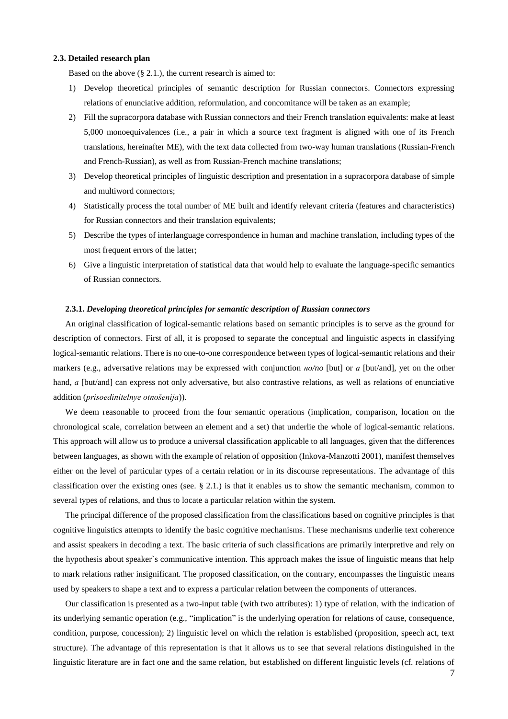#### **2.3. Detailed research plan**

Based on the above (§ 2.1.), the current research is aimed to:

- 1) Develop theoretical principles of semantic description for Russian connectors. Connectors expressing relations of enunciative addition, reformulation, and concomitance will be taken as an example;
- 2) Fill the supracorpora database with Russian connectors and their French translation equivalents: make at least 5,000 monoequivalences (i.e., a pair in which a source text fragment is aligned with one of its French translations, hereinafter ME), with the text data collected from two-way human translations (Russian-French and French-Russian), as well as from Russian-French machine translations;
- 3) Develop theoretical principles of linguistic description and presentation in a supracorpora database of simple and multiword connectors;
- 4) Statistically process the total number of ME built and identify relevant criteria (features and characteristics) for Russian connectors and their translation equivalents;
- 5) Describe the types of interlanguage correspondence in human and machine translation, including types of the most frequent errors of the latter;
- 6) Give a linguistic interpretation of statistical data that would help to evaluate the language-specific semantics of Russian connectors.

#### **2.3.1.** *Developing theoretical principles for semantic description of Russian connectors*

An original classification of logical-semantic relations based on semantic principles is to serve as the ground for description of connectors. First of all, it is proposed to separate the conceptual and linguistic aspects in classifying logical-semantic relations. There is no one-to-one correspondence between types of logical-semantic relations and their markers (e.g., adversative relations may be expressed with conjunction *но/no* [but] or *а* [but/and], yet on the other hand, *a* [but/and] can express not only adversative, but also contrastive relations, as well as relations of enunciative addition (*prisoedinitelnye otnošenija*)).

We deem reasonable to proceed from the four semantic operations (implication, comparison, location on the chronological scale, correlation between an element and a set) that underlie the whole of logical-semantic relations. This approach will allow us to produce a universal classification applicable to all languages, given that the differences between languages, as shown with the example of relation of opposition (Inkova-Manzotti 2001), manifest themselves either on the level of particular types of a certain relation or in its discourse representations. The advantage of this classification over the existing ones (see.  $\S$  2.1.) is that it enables us to show the semantic mechanism, common to several types of relations, and thus to locate a particular relation within the system.

The principal difference of the proposed classification from the classifications based on cognitive principles is that cognitive linguistics attempts to identify the basic cognitive mechanisms. These mechanisms underlie text coherence and assist speakers in decoding a text. The basic criteria of such classifications are primarily interpretive and rely on the hypothesis about speaker`s communicative intention. This approach makes the issue of linguistic means that help to mark relations rather insignificant. The proposed classification, on the contrary, encompasses the linguistic means used by speakers to shape a text and to express a particular relation between the components of utterances.

Our classification is presented as a two-input table (with two attributes): 1) type of relation, with the indication of its underlying semantic operation (e.g., "implication" is the underlying operation for relations of cause, consequence, condition, purpose, concession); 2) linguistic level on which the relation is established (proposition, speech act, text structure). The advantage of this representation is that it allows us to see that several relations distinguished in the linguistic literature are in fact one and the same relation, but established on different linguistic levels (cf. relations of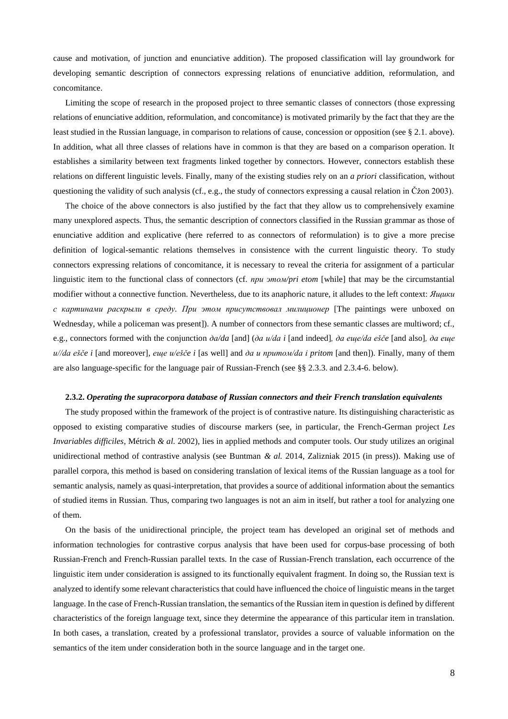cause and motivation, of junction and enunciative addition). The proposed classification will lay groundwork for developing semantic description of connectors expressing relations of enunciative addition, reformulation, and concomitance.

Limiting the scope of research in the proposed project to three semantic classes of connectors (those expressing relations of enunciative addition, reformulation, and concomitance) is motivated primarily by the fact that they are the least studied in the Russian language, in comparison to relations of cause, concession or opposition (see § 2.1. above). In addition, what all three classes of relations have in common is that they are based on a comparison operation. It establishes a similarity between text fragments linked together by connectors. However, connectors establish these relations on different linguistic levels. Finally, many of the existing studies rely on an *a priori* classification, without questioning the validity of such analysis (cf., e.g., the study of connectors expressing a causal relation in Čžon 2003).

The choice of the above connectors is also justified by the fact that they allow us to comprehensively examine many unexplored aspects. Thus, the semantic description of connectors classified in the Russian grammar as those of enunciative addition and explicative (here referred to as connectors of reformulation) is to give a more precise definition of logical-semantic relations themselves in consistence with the current linguistic theory. To study connectors expressing relations of concomitance, it is necessary to reveal the criteria for assignment of a particular linguistic item to the functional class of connectors (cf. *при этом/pri etom* [while] that may be the circumstantial modifier without a connective function. Nevertheless, due to its anaphoric nature, it alludes to the left context: *Ящики с картинами раскрыли в среду. При этом присутствовал милиционер* [The paintings were unboxed on Wednesday, while a policeman was present]). A number of connectors from these semantic classes are multiword; cf., e.g., connectors formed with the conjunction *да/da* [and] (*да и/da i* [and indeed]*, да еще/da ešče* [and also]*, да еще и//da ešče i* [and moreover]*, еще и/ešče i* [as well] and *да и притом/da i pritom* [and then]). Finally, many of them are also language-specific for the language pair of Russian-French (see §§ 2.3.3. and 2.3.4-6. below).

#### **2.3.2.** *Operating the supracorpora database of Russian connectors and their French translation equivalents*

The study proposed within the framework of the project is of contrastive nature. Its distinguishing characteristic as opposed to existing comparative studies of discourse markers (see, in particular, the French-German project *Les Invariables difficiles*, Métrich *& al.* 2002), lies in applied methods and computer tools. Our study utilizes an original unidirectional method of contrastive analysis (see Buntman *& al.* 2014, Zalizniak 2015 (in press)). Making use of parallel corpora, this method is based on considering translation of lexical items of the Russian language as a tool for semantic analysis, namely as quasi-interpretation, that provides a source of additional information about the semantics of studied items in Russian. Thus, comparing two languages is not an aim in itself, but rather a tool for analyzing one of them.

On the basis of the unidirectional principle, the project team has developed an original set of methods and information technologies for contrastive corpus analysis that have been used for corpus-base processing of both Russian-French and French-Russian parallel texts. In the case of Russian-French translation, each occurrence of the linguistic item under consideration is assigned to its functionally equivalent fragment. In doing so, the Russian text is analyzed to identify some relevant characteristics that could have influenced the choice of linguistic means in the target language. In the case of French-Russian translation, the semantics of the Russian item in question is defined by different characteristics of the foreign language text, since they determine the appearance of this particular item in translation. In both cases, a translation, created by a professional translator, provides a source of valuable information on the semantics of the item under consideration both in the source language and in the target one.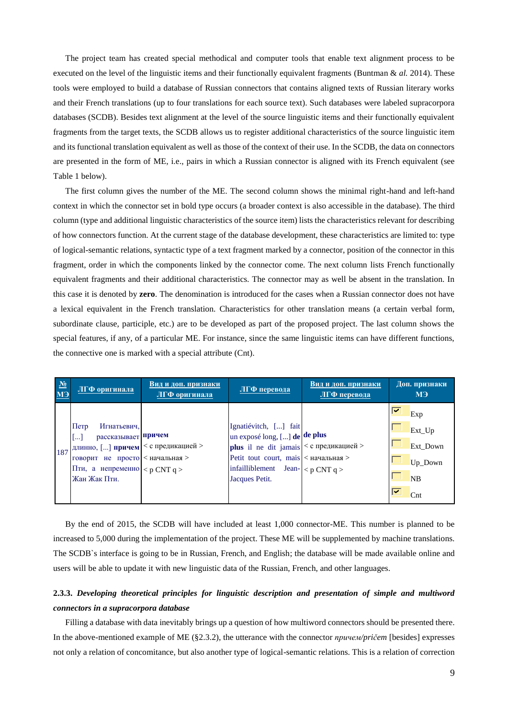The project team has created special methodical and computer tools that enable text alignment process to be executed on the level of the linguistic items and their functionally equivalent fragments (Buntman & *al.* 2014). These tools were employed to build a database of Russian connectors that contains aligned texts of Russian literary works and their French translations (up to four translations for each source text). Such databases were labeled supracorpora databases (SCDB). Besides text alignment at the level of the source linguistic items and their functionally equivalent fragments from the target texts, the SCDB allows us to register additional characteristics of the source linguistic item and its functional translation equivalent as well as those of the context of their use. In the SCDB, the data on connectors are presented in the form of ME, i.e., pairs in which a Russian connector is aligned with its French equivalent (see Table 1 below).

The first column gives the number of the ME. The second column shows the minimal right-hand and left-hand context in which the connector set in bold type occurs (a broader context is also accessible in the database). The third column (type and additional linguistic characteristics of the source item) lists the characteristics relevant for describing of how connectors function. At the current stage of the database development, these characteristics are limited to: type of logical-semantic relations, syntactic type of a text fragment marked by a connector, position of the connector in this fragment, order in which the components linked by the connector come. The next column lists French functionally equivalent fragments and their additional characteristics. The connector may as well be absent in the translation. In this case it is denoted by **zero**. The denomination is introduced for the cases when a Russian connector does not have a lexical equivalent in the French translation. Characteristics for other translation means (a certain verbal form, subordinate clause, participle, etc.) are to be developed as part of the proposed project. The last column shows the special features, if any, of a particular ME. For instance, since the same linguistic items can have different functions, the connective one is marked with a special attribute (Cnt).

| $N_2$<br>МЭ | ЛГФ оригинала                                                                                                                                                                                        | Вид и доп. признаки<br>ЛГФ оригинала | ЛГФ перевода                                                                                                                                                                                                  | Вид и доп. признаки<br>ЛГФ перевода | Доп. признаки<br>M <sup>3</sup>                                             |
|-------------|------------------------------------------------------------------------------------------------------------------------------------------------------------------------------------------------------|--------------------------------------|---------------------------------------------------------------------------------------------------------------------------------------------------------------------------------------------------------------|-------------------------------------|-----------------------------------------------------------------------------|
| 187         | $\prod$ erp<br>Игнатьевич,<br>рассказывает причем<br>$[]$<br>длинно, [] причем   < с предикацией ><br>говорит не просто < начальная ><br>Пти, а непременно $\langle p CNT q \rangle$<br>Жан Жак Пти. |                                      | Ignatiévitch, [] fait<br>un exposé long, [] de de plus<br><b>plus</b> il ne dit jamais $ <$ с предикацией ><br>Petit tout court, mais <начальная ><br>infailliblement Jean- $ $ < p CNT q ><br>Jacques Petit. |                                     | ☞<br>Exp<br>Ext_Up<br>Ext_Down<br>Up_Down<br><b>NB</b><br>☞<br>$\text{Cnt}$ |

By the end of 2015, the SCDB will have included at least 1,000 connector-ME. This number is planned to be increased to 5,000 during the implementation of the project. These ME will be supplemented by machine translations. The SCDB`s interface is going to be in Russian, French, and English; the database will be made available online and users will be able to update it with new linguistic data of the Russian, French, and other languages.

# **2.3.3.** *Developing theoretical principles for linguistic description and presentation of simple and multiword connectors in a supracorpora database*

Filling a database with data inevitably brings up a question of how multiword connectors should be presented there. In the above-mentioned example of ME (§2.3.2), the utterance with the connector *причем/pričem* [besides] expresses not only a relation of concomitance, but also another type of logical-semantic relations. This is a relation of correction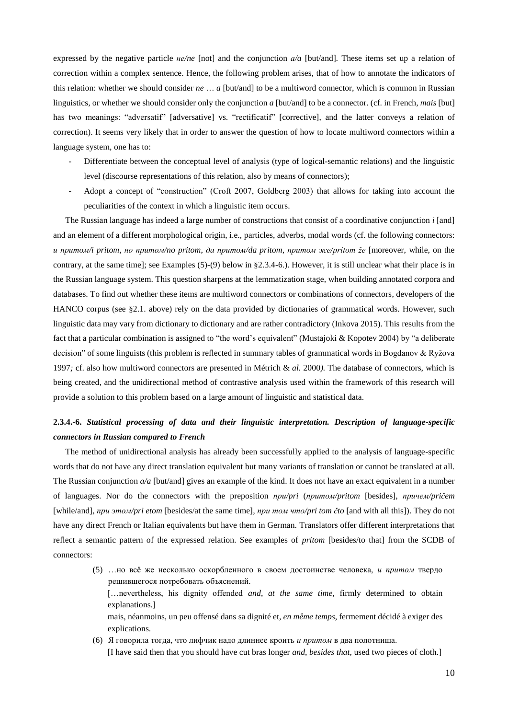expressed by the negative particle *не/ne* [not] and the conjunction *а/a* [but/and]*.* These items set up a relation of correction within a complex sentence. Hence, the following problem arises, that of how to annotate the indicators of this relation: whether we should consider *ne* … *a* [but/and] to be a multiword connector, which is common in Russian linguistics, or whether we should consider only the conjunction *a* [but/and] to be a connector. (cf. in French, *mais* [but] has two meanings: "adversatif" [adversative] vs. "rectificatif" [corrective], and the latter conveys a relation of correction). It seems very likely that in order to answer the question of how to locate multiword connectors within a language system, one has to:

- Differentiate between the conceptual level of analysis (type of logical-semantic relations) and the linguistic level (discourse representations of this relation, also by means of connectors);
- Adopt a concept of "construction" (Croft 2007, Goldberg 2003) that allows for taking into account the peculiarities of the context in which a linguistic item occurs.

The Russian language has indeed a large number of constructions that consist of a coordinative conjunction *i* [and] and an element of a different morphological origin, i.e., particles, adverbs, modal words (cf. the following connectors: *и притом/i pritom*, *но притом/no pritom*, *да притом/da pritom*, *притом же/pritom že* [moreover, while, on the contrary, at the same time]; see Examples (5)-(9) below in §2.3.4-6.). However, it is still unclear what their place is in the Russian language system. This question sharpens at the lemmatization stage, when building annotated corpora and databases. To find out whether these items are multiword connectors or combinations of connectors, developers of the HANCO corpus (see §2.1. above) rely on the data provided by dictionaries of grammatical words. However, such linguistic data may vary from dictionary to dictionary and are rather contradictory (Inkova 2015). This results from the fact that a particular combination is assigned to "the word's equivalent" (Mustajoki & Kopotev 2004) by "a deliberate decision" of some linguists (this problem is reflected in summary tables of grammatical words in Bogdanov & Ryžova 1997*;* cf. also how multiword connectors are presented in Métrich & *al.* 2000*).* The database of connectors, which is being created, and the unidirectional method of contrastive analysis used within the framework of this research will provide a solution to this problem based on a large amount of linguistic and statistical data.

# **2.3.4.-6.** *Statistical processing of data and their linguistic interpretation. Description of language-specific connectors in Russian compared to French*

The method of unidirectional analysis has already been successfully applied to the analysis of language-specific words that do not have any direct translation equivalent but many variants of translation or cannot be translated at all. The Russian conjunction *a/a* [but/and] gives an example of the kind. It does not have an exact equivalent in a number of languages. Nor do the connectors with the preposition *при/pri* (*притом/pritom* [besides], *причем/pričem*  [while/and]*, при этом/pri etom* [besides/at the same time]*, при том что/pri tom čto* [and with all this]). They do not have any direct French or Italian equivalents but have them in German. Translators offer different interpretations that reflect a semantic pattern of the expressed relation. See examples of *pritom* [besides/to that] from the SCDB of connectors:

- (5) …но всё же несколько оскорбленного в своем достоинстве человека, *и притом* твердо решившегося потребовать объяснений. […nevertheless, his dignity offended *and*, *at the same time*, firmly determined to obtain explanations.] mais, néanmoins, un peu offensé dans sa dignité et, *en même temps*, fermement décidé à exiger des explications. (6) Я говорила тогда, что лифчик надо длиннее кроить *и притом* в два полотнища.
- [I have said then that you should have cut bras longer *and*, *besides that*, used two pieces of cloth.]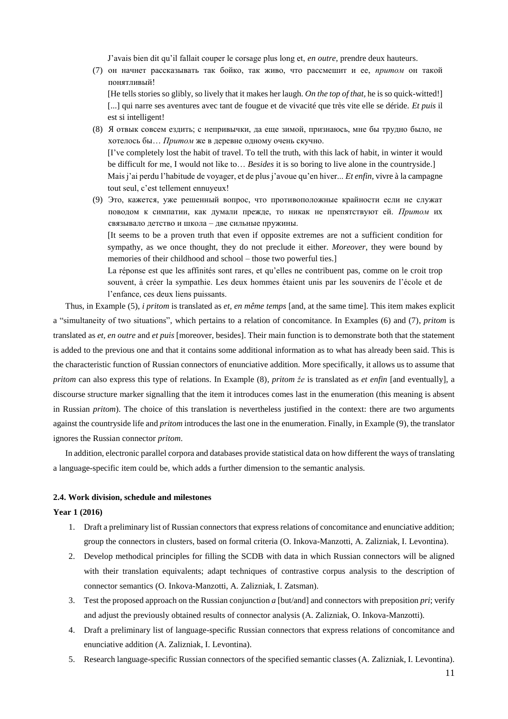J'avais bien dit qu'il fallait couper le corsage plus long et, *en outre*, prendre deux hauteurs.

(7) он начнет рассказывать так бойко, так живо, что рассмешит и ее, *притом* он такой понятливый!

[He tells stories so glibly, so lively that it makes her laugh. *On the top of that,* he is so quick-witted!] [...] qui narre ses aventures avec tant de fougue et de vivacité que très vite elle se déride. *Et puis* il est si intelligent!

- (8) Я отвык совсем ездить; с непривычки, да еще зимой, признаюсь, мне бы трудно было, не хотелось бы… *Притом* же в деревне одному очень скучно. [I've completely lost the habit of travel. To tell the truth, with this lack of habit, in winter it would be difficult for me, I would not like to… *Besides* it is so boring to live alone in the countryside.] Mais j'ai perdu l'habitude de voyager, et de plus j'avoue qu'en hiver... *Et enfin*, vivre à la campagne tout seul, c'est tellement ennuyeux!
- (9) Это, кажется, уже решенный вопрос, что противоположные крайности если не служат поводом к симпатии, как думали прежде, то никак не препятствуют ей. *Притом* их связывало детство и школа – две сильные пружины. [It seems to be a proven truth that even if opposite extremes are not a sufficient condition for sympathy, as we once thought, they do not preclude it either. *Moreover*, they were bound by

memories of their childhood and school – those two powerful ties.] La réponse est que les affinités sont rares, et qu'elles ne contribuent pas, comme on le croit trop souvent, à créer la sympathie. Les deux hommes étaient unis par les souvenirs de l'école et de l'enfance, ces deux liens puissants.

Thus, in Example (5), *i pritom* is translated as *et, en même temps* [and, at the same time]. This item makes explicit a "simultaneity of two situations", which pertains to a relation of concomitance. In Examples (6) and (7), *pritom* is translated as *et, en outre* and *et puis* [moreover, besides]. Their main function is to demonstrate both that the statement is added to the previous one and that it contains some additional information as to what has already been said. This is the characteristic function of Russian connectors of enunciative addition. More specifically, it allows us to assume that *pritom* can also express this type of relations. In Example (8), *pritom že* is translated as *et enfin* [and eventually], a discourse structure marker signalling that the item it introduces comes last in the enumeration (this meaning is absent in Russian *pritom*). The choice of this translation is nevertheless justified in the context: there are two arguments against the countryside life and *pritom* introduces the last one in the enumeration. Finally, in Example (9), the translator ignores the Russian connector *pritom*.

In addition, electronic parallel corpora and databases provide statistical data on how different the ways of translating a language-specific item could be, which adds a further dimension to the semantic analysis.

## **2.4. Work division, schedule and milestones**

#### **Year 1 (2016)**

- 1. Draft a preliminary list of Russian connectors that express relations of concomitance and enunciative addition; group the connectors in clusters, based on formal criteria (O. Inkova-Manzotti, A. Zalizniak, I. Levontina).
- 2. Develop methodical principles for filling the SCDB with data in which Russian connectors will be aligned with their translation equivalents; adapt techniques of contrastive corpus analysis to the description of connector semantics (O. Inkova-Manzotti, A. Zalizniak, I. Zatsman).
- 3. Test the proposed approach on the Russian conjunction *a* [but/and] and connectors with preposition *pri*; verify and adjust the previously obtained results of connector analysis (A. Zalizniak, O. Inkova-Manzotti).
- 4. Draft a preliminary list of language-specific Russian connectors that express relations of concomitance and enunciative addition (A. Zalizniak, I. Levontina).
- 5. Research language-specific Russian connectors of the specified semantic classes (A. Zalizniak, I. Levontina).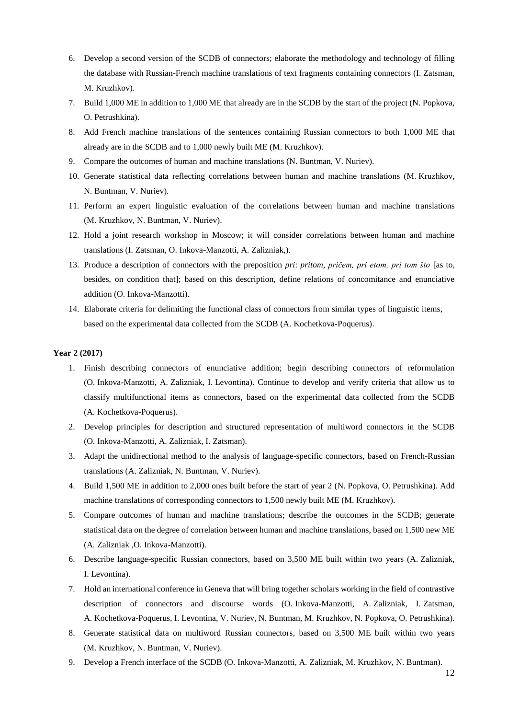- 6. Develop a second version of the SCDB of connectors; elaborate the methodology and technology of filling the database with Russian-French machine translations of text fragments containing connectors (I. Zatsman, M. Kruzhkov).
- 7. Build 1,000 ME in addition to 1,000 ME that already are in the SCDB by the start of the project (N. Popkova, O. Petrushkina).
- 8. Add French machine translations of the sentences containing Russian connectors to both 1,000 ME that already are in the SCDB and to 1,000 newly built ME (M. Kruzhkov).
- 9. Compare the outcomes of human and machine translations (N. Buntman, V. Nuriev).
- 10. Generate statistical data reflecting correlations between human and machine translations (M. Kruzhkov, N. Buntman, V. Nuriev).
- 11. Perform an expert linguistic evaluation of the correlations between human and machine translations (M. Kruzhkov, N. Buntman, V. Nuriev).
- 12. Hold a joint research workshop in Moscow; it will consider correlations between human and machine translations (I. Zatsman, O. Inkova-Manzotti, A. Zalizniak,).
- 13. Produce a description of connectors with the preposition *pri*: *pritom, pričem, pri etom, pri tom što* [as to, besides, on condition that]; based on this description, define relations of concomitance and enunciative addition (O. Inkova-Manzotti).
- 14. Elaborate criteria for delimiting the functional class of connectors from similar types of linguistic items, based on the experimental data collected from the SCDB (A. Kochetkova-Poquerus).

# **Year 2 (2017)**

- 1. Finish describing connectors of enunciative addition; begin describing connectors of reformulation (O. Inkova-Manzotti, A. Zalizniak, I. Levontina). Continue to develop and verify criteria that allow us to classify multifunctional items as connectors, based on the experimental data collected from the SCDB (A. Kochetkova-Poquerus).
- 2. Develop principles for description and structured representation of multiword connectors in the SCDB (O. Inkova-Manzotti, A. Zalizniak, I. Zatsman).
- 3. Adapt the unidirectional method to the analysis of language-specific connectors, based on French-Russian translations (A. Zalizniak, N. Buntman, V. Nuriev).
- 4. Build 1,500 ME in addition to 2,000 ones built before the start of year 2 (N. Popkova, O. Petrushkina). Add machine translations of corresponding connectors to 1,500 newly built ME (M. Kruzhkov).
- 5. Compare outcomes of human and machine translations; describe the outcomes in the SCDB; generate statistical data on the degree of correlation between human and machine translations, based on 1,500 new ME (A. Zalizniak ,O. Inkova-Manzotti).
- 6. Describe language-specific Russian connectors, based on 3,500 ME built within two years (A. Zalizniak, I. Levontina).
- 7. Hold an international conference in Geneva that will bring together scholars working in the field of contrastive description of connectors and discourse words (O. Inkova-Manzotti, A. Zalizniak, I. Zatsman, A. Kochetkova-Poquerus, I. Levontina, V. Nuriev, N. Buntman, M. Kruzhkov, N. Popkova, O. Petrushkina).
- 8. Generate statistical data on multiword Russian connectors, based on 3,500 ME built within two years (M. Kruzhkov, N. Buntman, V. Nuriev).
- 9. Develop a French interface of the SCDB (O. Inkova-Manzotti, A. Zalizniak, M. Kruzhkov, N. Buntman).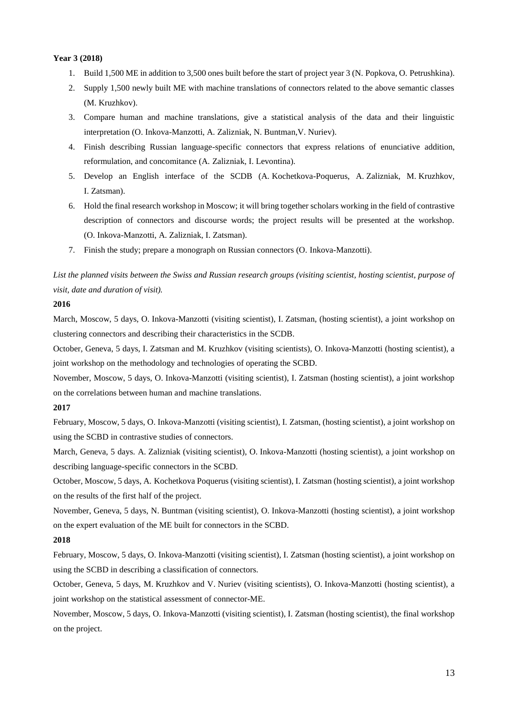## **Year 3 (2018)**

- 1. Build 1,500 ME in addition to 3,500 ones built before the start of project year 3 (N. Popkova, O. Petrushkina).
- 2. Supply 1,500 newly built ME with machine translations of connectors related to the above semantic classes (M. Kruzhkov).
- 3. Compare human and machine translations, give a statistical analysis of the data and their linguistic interpretation (O. Inkova-Manzotti, A. Zalizniak, N. Buntman,V. Nuriev).
- 4. Finish describing Russian language-specific connectors that express relations of enunciative addition, reformulation, and concomitance (A. Zalizniak, I. Levontina).
- 5. Develop an English interface of the SCDB (A. Kochetkova-Poquerus, A. Zalizniak, M. Kruzhkov, I. Zatsman).
- 6. Hold the final research workshop in Moscow; it will bring together scholars working in the field of contrastive description of connectors and discourse words; the project results will be presented at the workshop. (O. Inkova-Manzotti, A. Zalizniak, I. Zatsman).
- 7. Finish the study; prepare a monograph on Russian connectors (O. Inkova-Manzotti).

*List the planned visits between the Swiss and Russian research groups (visiting scientist, hosting scientist, purpose of visit, date and duration of visit).*

# **2016**

March, Moscow, 5 days, O. Inkova-Manzotti (visiting scientist), I. Zatsman, (hosting scientist), a joint workshop on clustering connectors and describing their characteristics in the SCDB.

October, Geneva, 5 days, I. Zatsman and M. Kruzhkov (visiting scientists), O. Inkova-Manzotti (hosting scientist), a joint workshop on the methodology and technologies of operating the SCBD.

November, Moscow, 5 days, O. Inkova-Manzotti (visiting scientist), I. Zatsman (hosting scientist), a joint workshop on the correlations between human and machine translations.

## **2017**

February, Moscow, 5 days, O. Inkova-Manzotti (visiting scientist), I. Zatsman, (hosting scientist), a joint workshop on using the SCBD in contrastive studies of connectors.

March, Geneva, 5 days. A. Zalizniak (visiting scientist), O. Inkova-Manzotti (hosting scientist), a joint workshop on describing language-specific connectors in the SCBD.

October, Moscow, 5 days, A. Kochetkova Poquerus (visiting scientist), I. Zatsman (hosting scientist), a joint workshop on the results of the first half of the project.

November, Geneva, 5 days, N. Buntman (visiting scientist), O. Inkova-Manzotti (hosting scientist), a joint workshop on the expert evaluation of the ME built for connectors in the SCBD.

# **2018**

February, Moscow, 5 days, O. Inkova-Manzotti (visiting scientist), I. Zatsman (hosting scientist), a joint workshop on using the SCBD in describing a classification of connectors.

October, Geneva, 5 days, M. Kruzhkov and V. Nuriev (visiting scientists), O. Inkova-Manzotti (hosting scientist), a joint workshop on the statistical assessment of connector-ME.

November, Moscow, 5 days, O. Inkova-Manzotti (visiting scientist), I. Zatsman (hosting scientist), the final workshop on the project.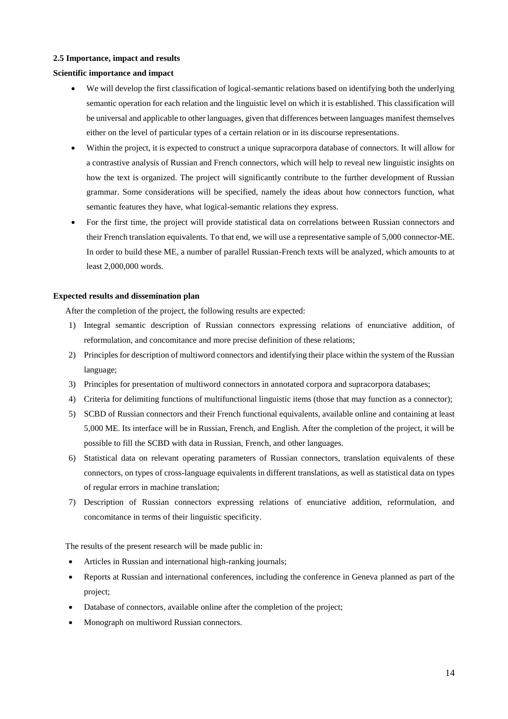# **2.5 Importance, impact and results**

# **Scientific importance and impact**

- We will develop the first classification of logical-semantic relations based on identifying both the underlying semantic operation for each relation and the linguistic level on which it is established. This classification will be universal and applicable to other languages, given that differences between languages manifest themselves either on the level of particular types of a certain relation or in its discourse representations.
- Within the project, it is expected to construct a unique supracorpora database of connectors. It will allow for a contrastive analysis of Russian and French connectors, which will help to reveal new linguistic insights on how the text is organized. The project will significantly contribute to the further development of Russian grammar. Some considerations will be specified, namely the ideas about how connectors function, what semantic features they have, what logical-semantic relations they express.
- For the first time, the project will provide statistical data on correlations between Russian connectors and their French translation equivalents. To that end, we will use a representative sample of 5,000 connector-ME. In order to build these ME, a number of parallel Russian-French texts will be analyzed, which amounts to at least 2,000,000 words.

## **Expected results and dissemination plan**

After the completion of the project, the following results are expected:

- 1) Integral semantic description of Russian connectors expressing relations of enunciative addition, of reformulation, and concomitance and more precise definition of these relations;
- 2) Principles for description of multiword connectors and identifying their place within the system of the Russian language;
- 3) Principles for presentation of multiword connectors in annotated corpora and supracorpora databases;
- 4) Criteria for delimiting functions of multifunctional linguistic items (those that may function as a connector);
- 5) SCBD of Russian connectors and their French functional equivalents, available online and containing at least 5,000 ME. Its interface will be in Russian, French, and English. After the completion of the project, it will be possible to fill the SCBD with data in Russian, French, and other languages.
- 6) Statistical data on relevant operating parameters of Russian connectors, translation equivalents of these connectors, on types of cross-language equivalents in different translations, as well as statistical data on types of regular errors in machine translation;
- 7) Description of Russian connectors expressing relations of enunciative addition, reformulation, and concomitance in terms of their linguistic specificity.

The results of the present research will be made public in:

- Articles in Russian and international high-ranking journals;
- Reports at Russian and international conferences, including the conference in Geneva planned as part of the project;
- Database of connectors, available online after the completion of the project;
- Monograph on multiword Russian connectors.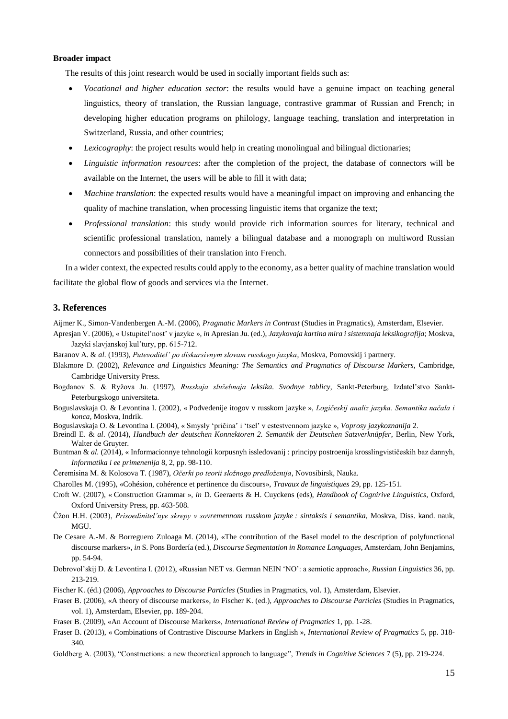#### **Broader impact**

The results of this joint research would be used in socially important fields such as:

- *Vocational and higher education sector*: the results would have a genuine impact on teaching general linguistics, theory of translation, the Russian language, contrastive grammar of Russian and French; in developing higher education programs on philology, language teaching, translation and interpretation in Switzerland, Russia, and other countries;
- *Lexicography*: the project results would help in creating monolingual and bilingual dictionaries;
- *Linguistic information resources*: after the completion of the project, the database of connectors will be available on the Internet, the users will be able to fill it with data;
- *Machine translation*: the expected results would have a meaningful impact on improving and enhancing the quality of machine translation, when processing linguistic items that organize the text;
- *Professional translation*: this study would provide rich information sources for literary, technical and scientific professional translation, namely a bilingual database and a monograph on multiword Russian connectors and possibilities of their translation into French.

In a wider context, the expected results could apply to the economy, as a better quality of machine translation would facilitate the global flow of goods and services via the Internet.

#### **3. References**

Aijmer K., Simon-Vandenbergen A.-M. (2006), *Pragmatic Markers in Contrast* (Studies in Pragmatics), Amsterdam, Elsevier.

Apresjan V. (2006), « Ustupitel'nost' v jazyke », *in* Apresian Ju. (ed.), *Jazykovaja kartina mira i sistemnaja leksikografija*; Moskva, Jazyki slavjanskoj kul'tury, pp. 615-712.

- Baranov A. & *al.* (1993), *Putevoditel' po diskursivnym slovam russkogo jazyka*, Moskva, Pomovskij i partnery.
- Blakmore D. (2002), *Relevance and Linguistics Meaning: The Semantics and Pragmatics of Discourse Markers*, Cambridge, Cambridge University Press.
- Bogdanov S. & Ryžova Ju. (1997), *Russkaja služebnaja leksika. Svodnye tablicy*, Sankt-Peterburg, Izdatel'stvo Sankt-Peterburgskogo universiteta.
- Boguslavskaja O. & Levontina I. (2002), « Podvedenije itogov v russkom jazyke », *Logičeskij analiz jazyka. Semantika načala i konca*, Moskva, Indrik.
- Boguslavskaja O. & Levontina I. (2004), « Smysly 'pričina' i 'tsel' v estestvennom jazyke », *Voprosy jazykoznanija* 2.
- Breindl E. & *al*. (2014), *Handbuch der deutschen Konnektoren 2. Semantik der Deutschen Satzverknüpfer*, Berlin, New York, Walter de Gruyter.
- Buntman & *al.* (2014), « Informacionnye tehnologii korpusnyh issledovanij : principy postroenija krosslingvističeskih baz dannyh, *Informatika i ee primenenija* 8, 2, pp. 98-110.
- Čeremisina М. & Kolosova Т. (1987), *Оčerki po teorii složnogo predloženija*, Novosibirsk, Nauka.
- Charolles M. (1995), «Cohésion, cohérence et pertinence du discours», *Travaux de linguistiques* 29, pp. 125-151.
- Croft W. (2007), « Construction Grammar », *in* D. Geeraerts & H. Cuyckens (eds), *Handbook of Cognirive Linguistics*, Oxford, Oxford University Press, pp. 463-508.
- Čžon H.H. (2003), *Prisoedinitel'nye skrepy v sovremennom russkom jazyke : sintaksis i semantika,* Moskva, Diss. kand. nauk, MGU.
- De Cesare A.-M. & Borreguero Zuloaga M. (2014), «The contribution of the Basel model to the description of polyfunctional discourse markers», *in* S. Pons Bordería (ed.), *Discourse Segmentation in Romance Languages*, Amsterdam, John Benjamins, pp. 54-94.
- Dobrovol'skij D. & Levontina I. (2012), «Russian NET vs. German NEIN 'NO': a semiotic approach», *Russian Linguistics* 36, pp. 213-219.
- Fischer K. (éd.) (2006), *Approaches to Discourse Particles* (Studies in Pragmatics, vol. 1), Amsterdam, Elsevier.
- Fraser B. (2006), «A theory of discourse markers», *in* Fischer K. (ed.), *Approaches to Discourse Particles* (Studies in Pragmatics, vol. 1), Amsterdam, Elsevier, pp. 189-204.
- Fraser B. (2009), «An Account of Discourse Markers», *International Review of Pragmatics* 1, pp. 1-28.
- Fraser B. (2013), « Combinations of Contrastive Discourse Markers in English », *International Review of Pragmatics* 5, pp. 318- 340.
- Goldberg A. (2003), "Constructions: a new theoretical approach to language", *Trends in Cognitive Sciences* 7 (5), pp. 219-224.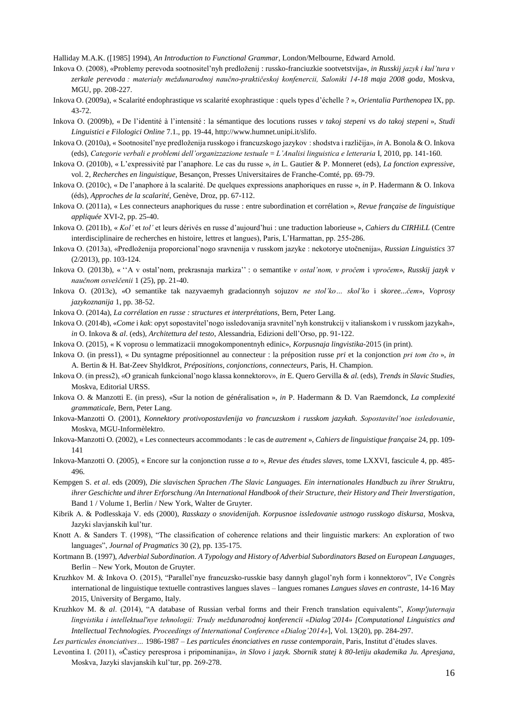Halliday M.A.K. ([1985] 1994), *An Introduction to Functional Grammar*, London/Melbourne, Edward Arnold.

Inkova O. (2008), «Problemy perevoda sootnositel'nyh predloženij : russko-franciuzkie sootvetstvija», *in Russkij jazyk i kul'tura v zerkale perevoda : materialy meždunarodnoj naučno-praktičeskoj konfenercii, Saloniki 14-18 maja 2008 goda*, Moskva, MGU, pp. 208-227.

Inkova O. (2009a), « Scalarité endophrastique *vs* scalarité exophrastique : quels types d'échelle ? », *Orientalia Parthenopea* IX, pp. 43-72.

Inkova O. (2009b), « De l'identité à l'intensité : la sémantique des locutions russes *v takoj stepeni* vs *do takoj stepeni* », *Studi Linguistici e Filologici Online* 7.1., pp. 19-44, http://www.humnet.unipi.it/slifo.

- Inkova O. (2010a), « Sootnositel'nye predloženija russkogo i francuzskogo jazykov : shodstva i različija», *in* A. Bonola & O. Inkova (eds), *Categorie verbali e problemi dell'organizzazione testuale* = *L'Analisi linguistica e letteraria* I, 2010, pp. 141-160.
- Inkova O. (2010b), « L'expressivité par l'anaphore. Le cas du russe », *in* L. Gautier & P. Monneret (eds), *La fonction expressive*, vol. 2, *Recherches en linguistique*, Besançon, Presses Universitaires de Franche-Comté, pp. 69-79.
- Inkova O. (2010c), « De l'anaphore à la scalarité. De quelques expressions anaphoriques en russe », *in* P. Hadermann & O. Inkova (éds), *Approches de la scalarité*, Genève, Droz, pp. 67-112.
- Inkova O. (2011a), « Les connecteurs anaphoriques du russe : entre subordination et corrélation », *Revue française de linguistique appliquée* XVI-2, pp. 25-40.

Inkova O. (2011b), « *Kol'* et *tol'* et leurs dérivés en russe d'aujourd'hui : une traduction laborieuse », *Cahiers du CIRHiLL* (Centre interdisciplinaire de recherches en histoire, lettres et langues), Paris, L'Harmattan, pp. 255-286.

- Inkova O. (2013a), «Predloženija proporcional'nogo sravnenija v russkom jazyke : nekotorye utočnenija», *Russian Linguistics* 37 (2/2013), pp. 103-124.
- Inkova O. (2013b), « ''А v ostal'nom, prekrasnaja markiza'' : o semantike *v ostal'nom, v pročem* i *vpročem*», *Russkij jazyk v naučnom osveščenii* 1 (25), pp. 21-40.
- Inkova O. (2013с), «О semantike tak nazyvaemyh gradacionnyh sojuzov *ne stol'ko… skol'ko* i *skoree...čem*», *Voprosy jazykoznanija* 1, pp. 38-52.

Inkova O. (2014a), *La corrélation en russe : structures et interprétations*, Bern, Peter Lang.

- Inkova O. (2014b), «*Come* i *kak*: opyt sopostavitel'nogo issledovanija sravnitel'nyh konstrukcij v italianskom i v russkom jazykah», *in* O. Inkova & *al*. (eds), *Architettura del testo*, Alessandria, Edizioni dell'Orso, pp. 91-122.
- Inkova O. (2015), « K voprosu o lemmatizacii mnogokomponentnyh edinic», *Korpusnaja lingvistika*-2015 (in print).

Inkova O. (in press1), « Du syntagme prépositionnel au connecteur : la préposition russe *pri* et la conjonction *pri tom čto* », *in* A. Bertin & H. Bat-Zeev Shyldkrot, *Prépositions, conjonctions, connecteurs*, Paris, H. Champion.

- Inkova O. (in press2), «O granicah funkcional'nogo klassa konnektorov», *in* E. Quero Gervilla & *al.* (eds), *Trends in Slavic Studies*, Moskva, Editorial URSS.
- Inkova O. & Manzotti E. (in press), «Sur la notion de généralisation », *in* P. Hadermann & D. Van Raemdonck, *La complexité grammaticale*, Bern, Peter Lang.
- Inkova-Manzotti O. (2001), *Konnektory protivopostavlenija vo francuzskom i russkom jazykah. Sopostavitel'noe issledovanie*, Moskva, MGU-Informèlektro.
- Inkova-Manzotti O. (2002), « Les connecteurs accommodants : le cas de *autrement* », *Cahiers de linguistique française* 24, pp. 109- 141
- Inkova-Manzotti O. (2005), « Encore sur la conjonction russe *a to* », *Revue des études slaves*, tome LXXVI, fascicule 4, pp. 485- 496.
- Kempgen S. *et al*. eds (2009), *Die slavischen Sprachen /The Slavic Languages. Ein internationales Handbuch zu ihrer Struktru, ihrer Geschichte und ihrer Erforschung /An International Handbook of their Structure, their History and Their Inverstigation*, Band 1 / Volume 1, Berlin / New York, Walter de Gruyter.
- Kibrik А. & Podlesskaja V. eds (2000), *Rasskazy o snovidenijah. Korpusnoe issledovanie ustnogo russkogo diskursa*, Moskva, Jazyki slavjanskih kul'tur.
- Knott A. & Sanders T. (1998), "The classification of coherence relations and their linguistic markers: An exploration of two languages", *Journal of Pragmatics* 30 (2), рр. 135-175.
- Kortmann B. (1997), *Adverbial Subordination. A Typology and History of Adverbial Subordinators Based on European Languages*, Berlin – New York, Mouton de Gruyter.
- Kruzhkov M. & Inkova O. (2015), "Parallel'nye francuzsko-russkie basy dannyh glagol'nyh form i konnektorov", IVe Congrès international de linguistique textuelle contrastives langues slaves – langues romanes *Langues slaves en contraste*, 14-16 May 2015, University of Bergamo, Italy.
- Kruzhkov M. & *al*. (2014), "A database of Russian verbal forms and their French translation equivalents", *Кomp'juternaja lingvistika i intellektual'nye tehnologii: Тrudy meždunarodnoj konferencii «Dialog'2014» [Computational Linguistics and Intellectual Technologies. Proceedings of International Conference «Dialog'2014»*], Vol. 13(20), pp. 284-297.

*Les particules énonciatives…* 1986-1987 – *Les particules énonciatives en russe contemporain*, Paris, Institut d'études slaves.

Levontina I. (2011), «Časticy peresprosa i pripominanija», *in Slovo i jazyk. Sbornik statej k 80-letiju akademika Ju. Apresjana*, Moskva, Jazyki slavjanskih kul'tur, pp. 269-278.